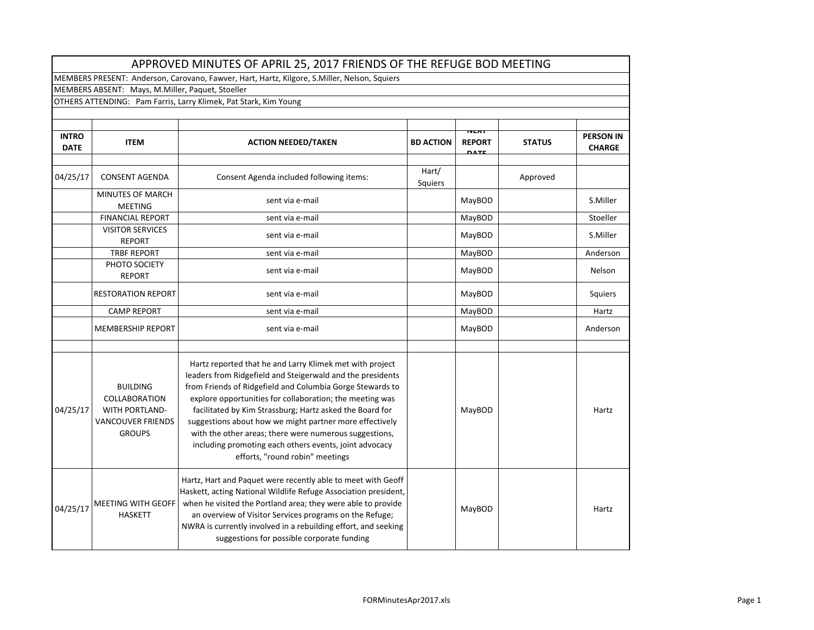|                                                                                              | APPROVED MINUTES OF APRIL 25, 2017 FRIENDS OF THE REFUGE BOD MEETING                                          |                                                                                                                                                                                                                                                                                                                                                                                                                                                                                                                               |                  |                                             |               |                                   |  |  |
|----------------------------------------------------------------------------------------------|---------------------------------------------------------------------------------------------------------------|-------------------------------------------------------------------------------------------------------------------------------------------------------------------------------------------------------------------------------------------------------------------------------------------------------------------------------------------------------------------------------------------------------------------------------------------------------------------------------------------------------------------------------|------------------|---------------------------------------------|---------------|-----------------------------------|--|--|
| MEMBERS PRESENT: Anderson, Carovano, Fawver, Hart, Hartz, Kilgore, S.Miller, Nelson, Squiers |                                                                                                               |                                                                                                                                                                                                                                                                                                                                                                                                                                                                                                                               |                  |                                             |               |                                   |  |  |
| MEMBERS ABSENT: Mays, M.Miller, Paquet, Stoeller                                             |                                                                                                               |                                                                                                                                                                                                                                                                                                                                                                                                                                                                                                                               |                  |                                             |               |                                   |  |  |
| OTHERS ATTENDING: Pam Farris, Larry Klimek, Pat Stark, Kim Young                             |                                                                                                               |                                                                                                                                                                                                                                                                                                                                                                                                                                                                                                                               |                  |                                             |               |                                   |  |  |
|                                                                                              |                                                                                                               |                                                                                                                                                                                                                                                                                                                                                                                                                                                                                                                               |                  |                                             |               |                                   |  |  |
| <b>INTRO</b><br><b>DATE</b>                                                                  | <b>ITEM</b>                                                                                                   | <b>ACTION NEEDED/TAKEN</b>                                                                                                                                                                                                                                                                                                                                                                                                                                                                                                    | <b>BD ACTION</b> | <b>NEAT</b><br><b>REPORT</b><br><b>DATE</b> | <b>STATUS</b> | <b>PERSON IN</b><br><b>CHARGE</b> |  |  |
| 04/25/17                                                                                     | <b>CONSENT AGENDA</b>                                                                                         | Consent Agenda included following items:                                                                                                                                                                                                                                                                                                                                                                                                                                                                                      | Hart/<br>Squiers |                                             | Approved      |                                   |  |  |
|                                                                                              | <b>MINUTES OF MARCH</b><br><b>MEETING</b>                                                                     | sent via e-mail                                                                                                                                                                                                                                                                                                                                                                                                                                                                                                               |                  | MayBOD                                      |               | S.Miller                          |  |  |
|                                                                                              | <b>FINANCIAL REPORT</b>                                                                                       | sent via e-mail                                                                                                                                                                                                                                                                                                                                                                                                                                                                                                               |                  | MayBOD                                      |               | Stoeller                          |  |  |
|                                                                                              | <b>VISITOR SERVICES</b><br><b>REPORT</b>                                                                      | sent via e-mail                                                                                                                                                                                                                                                                                                                                                                                                                                                                                                               |                  | MayBOD                                      |               | S.Miller                          |  |  |
|                                                                                              | <b>TRBF REPORT</b>                                                                                            | sent via e-mail                                                                                                                                                                                                                                                                                                                                                                                                                                                                                                               |                  | MayBOD                                      |               | Anderson                          |  |  |
|                                                                                              | PHOTO SOCIETY<br><b>REPORT</b>                                                                                | sent via e-mail                                                                                                                                                                                                                                                                                                                                                                                                                                                                                                               |                  | MayBOD                                      |               | Nelson                            |  |  |
|                                                                                              | <b>RESTORATION REPORT</b>                                                                                     | sent via e-mail                                                                                                                                                                                                                                                                                                                                                                                                                                                                                                               |                  | MayBOD                                      |               | Squiers                           |  |  |
|                                                                                              | <b>CAMP REPORT</b>                                                                                            | sent via e-mail                                                                                                                                                                                                                                                                                                                                                                                                                                                                                                               |                  | MayBOD                                      |               | Hartz                             |  |  |
|                                                                                              | <b>MEMBERSHIP REPORT</b>                                                                                      | sent via e-mail                                                                                                                                                                                                                                                                                                                                                                                                                                                                                                               |                  | MayBOD                                      |               | Anderson                          |  |  |
|                                                                                              |                                                                                                               |                                                                                                                                                                                                                                                                                                                                                                                                                                                                                                                               |                  |                                             |               |                                   |  |  |
| 04/25/17                                                                                     | <b>BUILDING</b><br><b>COLLABORATION</b><br><b>WITH PORTLAND-</b><br><b>VANCOUVER FRIENDS</b><br><b>GROUPS</b> | Hartz reported that he and Larry Klimek met with project<br>leaders from Ridgefield and Steigerwald and the presidents<br>from Friends of Ridgefield and Columbia Gorge Stewards to<br>explore opportunities for collaboration; the meeting was<br>facilitated by Kim Strassburg; Hartz asked the Board for<br>suggestions about how we might partner more effectively<br>with the other areas; there were numerous suggestions,<br>including promoting each others events, joint advocacy<br>efforts, "round robin" meetings |                  | MayBOD                                      |               | Hartz                             |  |  |
| 04/25/17                                                                                     | MEETING WITH GEOFF<br><b>HASKETT</b>                                                                          | Hartz, Hart and Paquet were recently able to meet with Geoff<br>Haskett, acting National Wildlife Refuge Association president,<br>when he visited the Portland area; they were able to provide<br>an overview of Visitor Services programs on the Refuge;<br>NWRA is currently involved in a rebuilding effort, and seeking<br>suggestions for possible corporate funding                                                                                                                                                    |                  | MayBOD                                      |               | Hartz                             |  |  |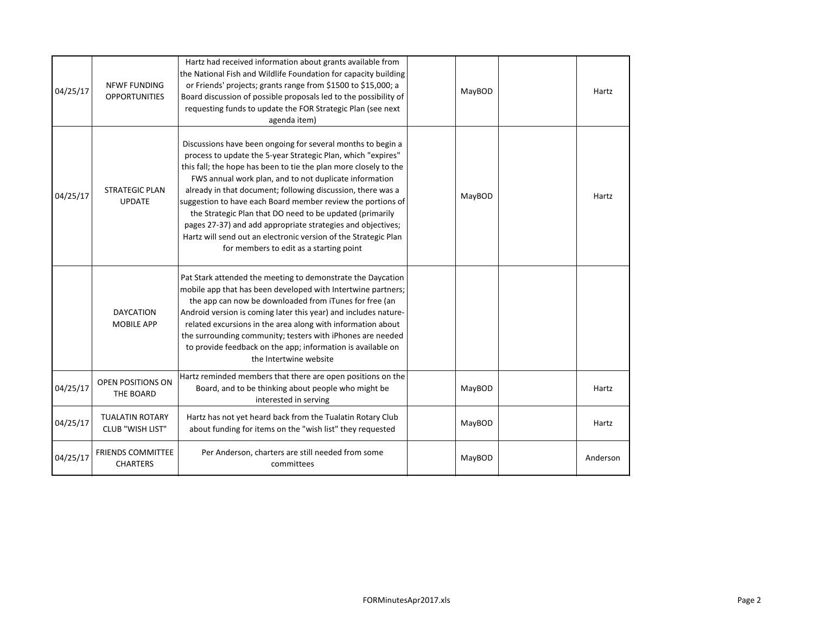| 04/25/17 | <b>NFWF FUNDING</b><br><b>OPPORTUNITIES</b>       | Hartz had received information about grants available from<br>the National Fish and Wildlife Foundation for capacity building<br>or Friends' projects; grants range from \$1500 to \$15,000; a<br>Board discussion of possible proposals led to the possibility of<br>requesting funds to update the FOR Strategic Plan (see next<br>agenda item)                                                                                                                                                                                                                                                                                | MayBOD | Hartz    |
|----------|---------------------------------------------------|----------------------------------------------------------------------------------------------------------------------------------------------------------------------------------------------------------------------------------------------------------------------------------------------------------------------------------------------------------------------------------------------------------------------------------------------------------------------------------------------------------------------------------------------------------------------------------------------------------------------------------|--------|----------|
| 04/25/17 | <b>STRATEGIC PLAN</b><br><b>UPDATE</b>            | Discussions have been ongoing for several months to begin a<br>process to update the 5-year Strategic Plan, which "expires"<br>this fall; the hope has been to tie the plan more closely to the<br>FWS annual work plan, and to not duplicate information<br>already in that document; following discussion, there was a<br>suggestion to have each Board member review the portions of<br>the Strategic Plan that DO need to be updated (primarily<br>pages 27-37) and add appropriate strategies and objectives;<br>Hartz will send out an electronic version of the Strategic Plan<br>for members to edit as a starting point | MayBOD | Hartz    |
|          | <b>DAYCATION</b><br><b>MOBILE APP</b>             | Pat Stark attended the meeting to demonstrate the Daycation<br>mobile app that has been developed with Intertwine partners;<br>the app can now be downloaded from iTunes for free (an<br>Android version is coming later this year) and includes nature-<br>related excursions in the area along with information about<br>the surrounding community; testers with iPhones are needed<br>to provide feedback on the app; information is available on<br>the Intertwine website                                                                                                                                                   |        |          |
| 04/25/17 | <b>OPEN POSITIONS ON</b><br>THE BOARD             | Hartz reminded members that there are open positions on the<br>Board, and to be thinking about people who might be<br>interested in serving                                                                                                                                                                                                                                                                                                                                                                                                                                                                                      | MayBOD | Hartz    |
| 04/25/17 | <b>TUALATIN ROTARY</b><br><b>CLUB "WISH LIST"</b> | Hartz has not yet heard back from the Tualatin Rotary Club<br>about funding for items on the "wish list" they requested                                                                                                                                                                                                                                                                                                                                                                                                                                                                                                          | MayBOD | Hartz    |
| 04/25/17 | <b>FRIENDS COMMITTEE</b><br><b>CHARTERS</b>       | Per Anderson, charters are still needed from some<br>committees                                                                                                                                                                                                                                                                                                                                                                                                                                                                                                                                                                  | MayBOD | Anderson |